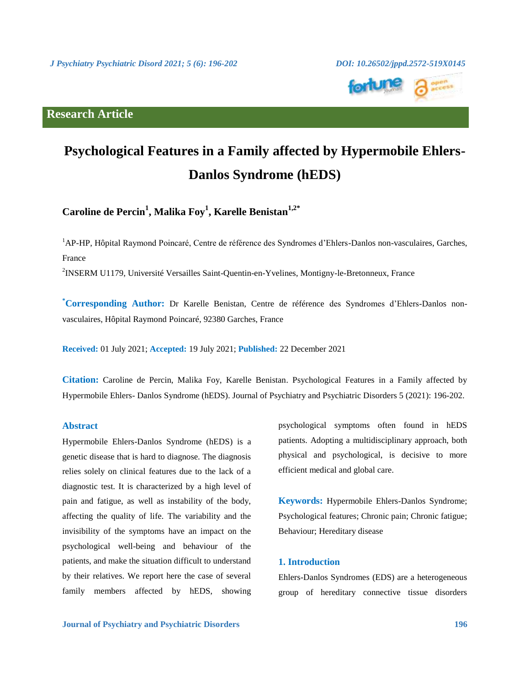# **Research Article**



![](_page_0_Picture_3.jpeg)

# **Psychological Features in a Family affected by Hypermobile Ehlers-Danlos Syndrome (hEDS)**

**Caroline de Percin<sup>1</sup> , Malika Foy<sup>1</sup> , Karelle Benistan1,2\***

<sup>1</sup>AP-HP, Hôpital Raymond Poincaré, Centre de référence des Syndromes d'Ehlers-Danlos non-vasculaires, Garches, France

<sup>2</sup>INSERM U1179, Université Versailles Saint-Quentin-en-Yvelines, Montigny-le-Bretonneux, France

**\*Corresponding Author:** Dr Karelle Benistan, Centre de référence des Syndromes d'Ehlers-Danlos nonvasculaires, Hôpital Raymond Poincaré, 92380 Garches, France

**Received:** 01 July 2021; **Accepted:** 19 July 2021; **Published:** 22 December 2021

**Citation:** Caroline de Percin, Malika Foy, Karelle Benistan. Psychological Features in a Family affected by Hypermobile Ehlers- Danlos Syndrome (hEDS). Journal of Psychiatry and Psychiatric Disorders 5 (2021): 196-202.

#### **Abstract**

Hypermobile Ehlers-Danlos Syndrome (hEDS) is a genetic disease that is hard to diagnose. The diagnosis relies solely on clinical features due to the lack of a diagnostic test. It is characterized by a high level of pain and fatigue, as well as instability of the body, affecting the quality of life. The variability and the invisibility of the symptoms have an impact on the psychological well-being and behaviour of the patients, and make the situation difficult to understand by their relatives. We report here the case of several family members affected by hEDS, showing psychological symptoms often found in hEDS patients. Adopting a multidisciplinary approach, both physical and psychological, is decisive to more efficient medical and global care.

**Keywords:** Hypermobile Ehlers-Danlos Syndrome; Psychological features; Chronic pain; Chronic fatigue; Behaviour; Hereditary disease

# **1. Introduction**

Ehlers-Danlos Syndromes (EDS) are a heterogeneous group of hereditary connective tissue disorders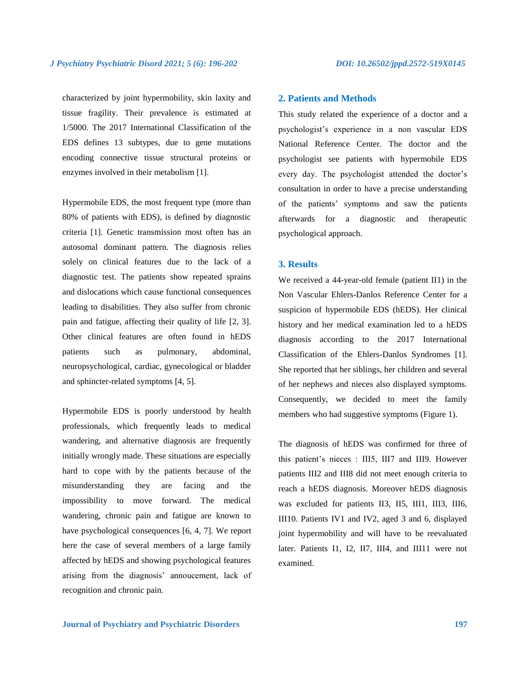characterized by joint hypermobility, skin laxity and tissue fragility. Their prevalence is estimated at 1/5000. The 2017 International Classification of the EDS defines 13 subtypes, due to gene mutations encoding connective tissue structural proteins or enzymes involved in their metabolism [1].

Hypermobile EDS, the most frequent type (more than 80% of patients with EDS), is defined by diagnostic criteria [1]. Genetic transmission most often has an autosomal dominant pattern. The diagnosis relies solely on clinical features due to the lack of a diagnostic test. The patients show repeated sprains and dislocations which cause functional consequences leading to disabilities. They also suffer from chronic pain and fatigue, affecting their quality of life [2, 3]. Other clinical features are often found in hEDS patients such as pulmonary, abdominal, neuropsychological, cardiac, gynecological or bladder and sphincter-related symptoms [4, 5].

Hypermobile EDS is poorly understood by health professionals, which frequently leads to medical wandering, and alternative diagnosis are frequently initially wrongly made. These situations are especially hard to cope with by the patients because of the misunderstanding they are facing and the impossibility to move forward. The medical wandering, chronic pain and fatigue are known to have psychological consequences [6, 4, 7]. We report here the case of several members of a large family affected by hEDS and showing psychological features arising from the diagnosis' annoucement, lack of recognition and chronic pain.

#### **2. Patients and Methods**

This study related the experience of a doctor and a psychologist's experience in a non vascular EDS National Reference Center. The doctor and the psychologist see patients with hypermobile EDS every day. The psychologist attended the doctor's consultation in order to have a precise understanding of the patients' symptoms and saw the patients afterwards for a diagnostic and therapeutic psychological approach.

#### **3. Results**

We received a 44-year-old female (patient II1) in the Non Vascular Ehlers-Danlos Reference Center for a suspicion of hypermobile EDS (hEDS). Her clinical history and her medical examination led to a hEDS diagnosis according to the 2017 International Classification of the Ehlers-Danlos Syndromes [1]. She reported that her siblings, her children and several of her nephews and nieces also displayed symptoms. Consequently, we decided to meet the family members who had suggestive symptoms (Figure 1).

The diagnosis of hEDS was confirmed for three of this patient's nieces : III5, III7 and III9. However patients III2 and III8 did not meet enough criteria to reach a hEDS diagnosis. Moreover hEDS diagnosis was excluded for patients II3, II5, III1, III3, III6, III10. Patients IV1 and IV2, aged 3 and 6, displayed joint hypermobility and will have to be reevaluated later. Patients I1, I2, II7, III4, and III11 were not examined.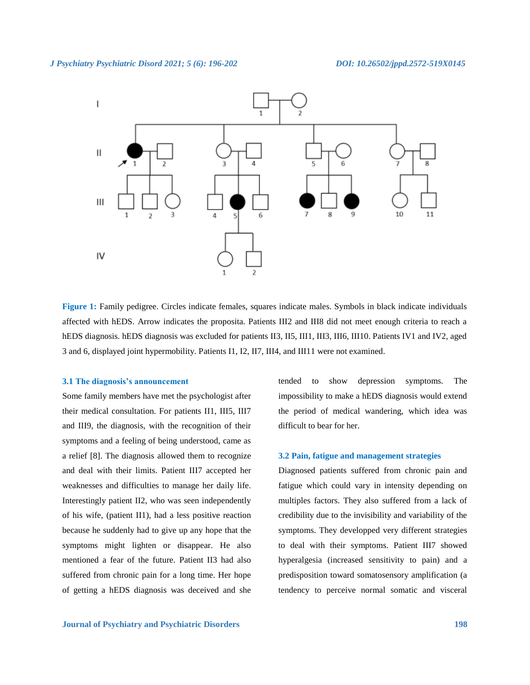![](_page_2_Figure_2.jpeg)

**Figure 1:** Family pedigree. Circles indicate females, squares indicate males. Symbols in black indicate individuals affected with hEDS. Arrow indicates the proposita. Patients III2 and III8 did not meet enough criteria to reach a hEDS diagnosis. hEDS diagnosis was excluded for patients II3, II5, III1, III3, III6, III10. Patients IV1 and IV2, aged 3 and 6, displayed joint hypermobility. Patients I1, I2, II7, III4, and III11 were not examined.

#### **3.1 The diagnosis's announcement**

Some family members have met the psychologist after their medical consultation. For patients II1, III5, III7 and III9, the diagnosis, with the recognition of their symptoms and a feeling of being understood, came as a relief [8]. The diagnosis allowed them to recognize and deal with their limits. Patient III7 accepted her weaknesses and difficulties to manage her daily life. Interestingly patient II2, who was seen independently of his wife, (patient II1), had a less positive reaction because he suddenly had to give up any hope that the symptoms might lighten or disappear. He also mentioned a fear of the future. Patient II3 had also suffered from chronic pain for a long time. Her hope of getting a hEDS diagnosis was deceived and she

symptoms. They developped very different strategies to deal with their symptoms. Patient III7 showed hyperalgesia (increased sensitivity to pain) and a predisposition toward somatosensory amplification (a

tendency to perceive normal somatic and visceral

tended to show depression symptoms. The impossibility to make a hEDS diagnosis would extend the period of medical wandering, which idea was

**3.2 Pain, fatigue and management strategies**

Diagnosed patients suffered from chronic pain and fatigue which could vary in intensity depending on multiples factors. They also suffered from a lack of credibility due to the invisibility and variability of the

difficult to bear for her.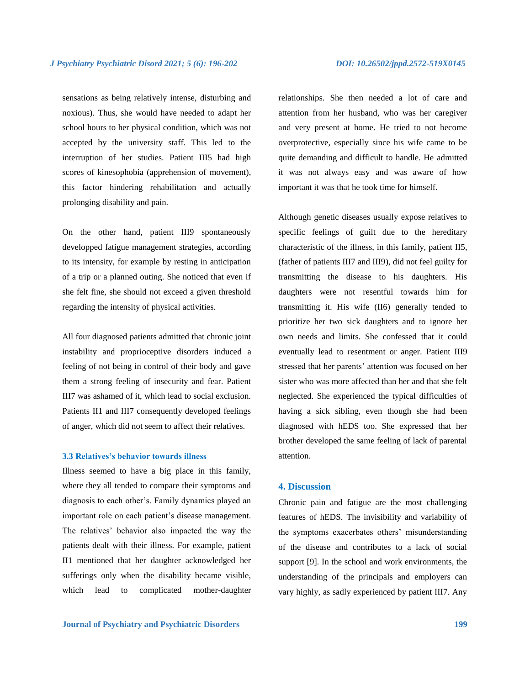sensations as being relatively intense, disturbing and noxious). Thus, she would have needed to adapt her school hours to her physical condition, which was not accepted by the university staff. This led to the interruption of her studies. Patient III5 had high scores of kinesophobia (apprehension of movement), this factor hindering rehabilitation and actually prolonging disability and pain.

On the other hand, patient III9 spontaneously developped fatigue management strategies, according to its intensity, for example by resting in anticipation of a trip or a planned outing. She noticed that even if she felt fine, she should not exceed a given threshold regarding the intensity of physical activities.

All four diagnosed patients admitted that chronic joint instability and proprioceptive disorders induced a feeling of not being in control of their body and gave them a strong feeling of insecurity and fear. Patient III7 was ashamed of it, which lead to social exclusion. Patients II1 and III7 consequently developed feelings of anger, which did not seem to affect their relatives.

#### **3.3 Relatives's behavior towards illness**

Illness seemed to have a big place in this family, where they all tended to compare their symptoms and diagnosis to each other's. Family dynamics played an important role on each patient's disease management. The relatives' behavior also impacted the way the patients dealt with their illness. For example, patient II1 mentioned that her daughter acknowledged her sufferings only when the disability became visible, which lead to complicated mother-daughter relationships. She then needed a lot of care and attention from her husband, who was her caregiver and very present at home. He tried to not become overprotective, especially since his wife came to be quite demanding and difficult to handle. He admitted it was not always easy and was aware of how important it was that he took time for himself.

Although genetic diseases usually expose relatives to specific feelings of guilt due to the hereditary characteristic of the illness, in this family, patient II5, (father of patients III7 and III9), did not feel guilty for transmitting the disease to his daughters. His daughters were not resentful towards him for transmitting it. His wife (II6) generally tended to prioritize her two sick daughters and to ignore her own needs and limits. She confessed that it could eventually lead to resentment or anger. Patient III9 stressed that her parents' attention was focused on her sister who was more affected than her and that she felt neglected. She experienced the typical difficulties of having a sick sibling, even though she had been diagnosed with hEDS too. She expressed that her brother developed the same feeling of lack of parental attention.

### **4. Discussion**

Chronic pain and fatigue are the most challenging features of hEDS. The invisibility and variability of the symptoms exacerbates others' misunderstanding of the disease and contributes to a lack of social support [9]. In the school and work environments, the understanding of the principals and employers can vary highly, as sadly experienced by patient III7. Any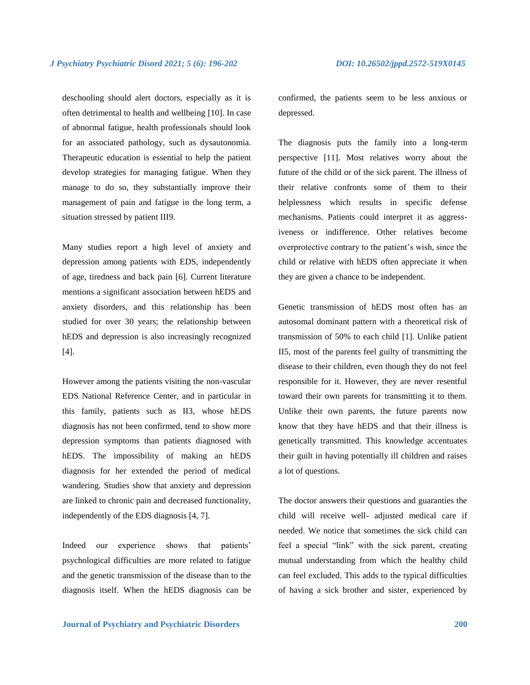deschooling should alert doctors, especially as it is often detrimental to health and wellbeing [10]. In case of abnormal fatigue, health professionals should look for an associated pathology, such as dysautonomia. Therapeutic education is essential to help the patient develop strategies for managing fatigue. When they manage to do so, they substantially improve their management of pain and fatigue in the long term, a situation stressed by patient III9.

Many studies report a high level of anxiety and depression among patients with EDS, independently of age, tiredness and back pain [6]. Current literature mentions a significant association between hEDS and anxiety disorders, and this relationship has been studied for over 30 years; the relationship between hEDS and depression is also increasingly recognized [4].

However among the patients visiting the non-vascular EDS National Reference Center, and in particular in this family, patients such as II3, whose hEDS diagnosis has not been confirmed, tend to show more depression symptoms than patients diagnosed with hEDS. The impossibility of making an hEDS diagnosis for her extended the period of medical wandering. Studies show that anxiety and depression are linked to chronic pain and decreased functionality, independently of the EDS diagnosis [4, 7].

Indeed our experience shows that patients' psychological difficulties are more related to fatigue and the genetic transmission of the disease than to the diagnosis itself. When the hEDS diagnosis can be confirmed, the patients seem to be less anxious or depressed.

The diagnosis puts the family into a long-term perspective [11]. Most relatives worry about the future of the child or of the sick parent. The illness of their relative confronts some of them to their helplessness which results in specific defense mechanisms. Patients could interpret it as aggressiveness or indifference. Other relatives become overprotective contrary to the patient's wish, since the child or relative with hEDS often appreciate it when they are given a chance to be independent.

Genetic transmission of hEDS most often has an autosomal dominant pattern with a theoretical risk of transmission of 50% to each child [1]. Unlike patient II5, most of the parents feel guilty of transmitting the disease to their children, even though they do not feel responsible for it. However, they are never resentful toward their own parents for transmitting it to them. Unlike their own parents, the future parents now know that they have hEDS and that their illness is genetically transmitted. This knowledge accentuates their guilt in having potentially ill children and raises a lot of questions.

The doctor answers their questions and guaranties the child will receive well- adjusted medical care if needed. We notice that sometimes the sick child can feel a special "link" with the sick parent, creating mutual understanding from which the healthy child can feel excluded. This adds to the typical difficulties of having a sick brother and sister, experienced by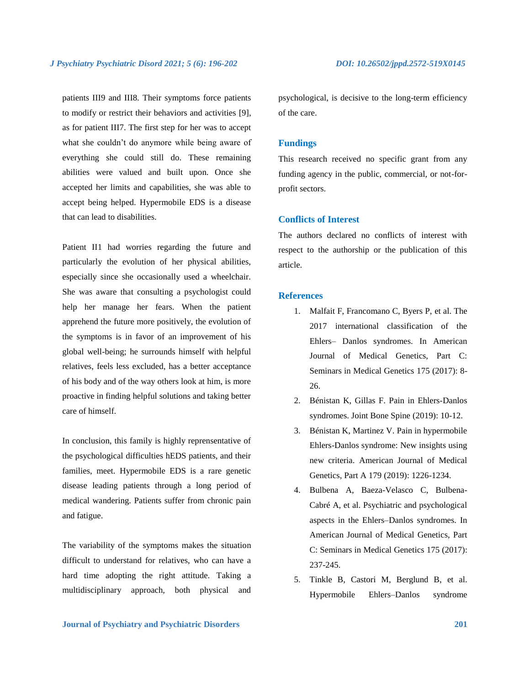patients III9 and III8. Their symptoms force patients to modify or restrict their behaviors and activities [9], as for patient III7. The first step for her was to accept what she couldn't do anymore while being aware of everything she could still do. These remaining abilities were valued and built upon. Once she accepted her limits and capabilities, she was able to accept being helped. Hypermobile EDS is a disease that can lead to disabilities.

Patient II1 had worries regarding the future and particularly the evolution of her physical abilities, especially since she occasionally used a wheelchair. She was aware that consulting a psychologist could help her manage her fears. When the patient apprehend the future more positively, the evolution of the symptoms is in favor of an improvement of his global well-being; he surrounds himself with helpful relatives, feels less excluded, has a better acceptance of his body and of the way others look at him, is more proactive in finding helpful solutions and taking better care of himself.

In conclusion, this family is highly reprensentative of the psychological difficulties hEDS patients, and their families, meet. Hypermobile EDS is a rare genetic disease leading patients through a long period of medical wandering. Patients suffer from chronic pain and fatigue.

The variability of the symptoms makes the situation difficult to understand for relatives, who can have a hard time adopting the right attitude. Taking a multidisciplinary approach, both physical and psychological, is decisive to the long-term efficiency of the care.

#### **Fundings**

This research received no specific grant from any funding agency in the public, commercial, or not-forprofit sectors.

## **Conflicts of Interest**

The authors declared no conflicts of interest with respect to the authorship or the publication of this article.

#### **References**

- 1. Malfait F, Francomano C, Byers P, et al. The 2017 international classification of the Ehlers– Danlos syndromes. In American Journal of Medical Genetics, Part C: Seminars in Medical Genetics 175 (2017): 8- 26.
- 2. Bénistan K, Gillas F. Pain in Ehlers-Danlos syndromes. Joint Bone Spine (2019): 10-12.
- 3. Bénistan K, Martinez V. Pain in hypermobile Ehlers-Danlos syndrome: New insights using new criteria. American Journal of Medical Genetics, Part A 179 (2019): 1226-1234.
- 4. Bulbena A, Baeza-Velasco C, Bulbena-Cabré A, et al. Psychiatric and psychological aspects in the Ehlers–Danlos syndromes. In American Journal of Medical Genetics, Part C: Seminars in Medical Genetics 175 (2017): 237-245.
- 5. Tinkle B, Castori M, Berglund B, et al. Hypermobile Ehlers–Danlos syndrome